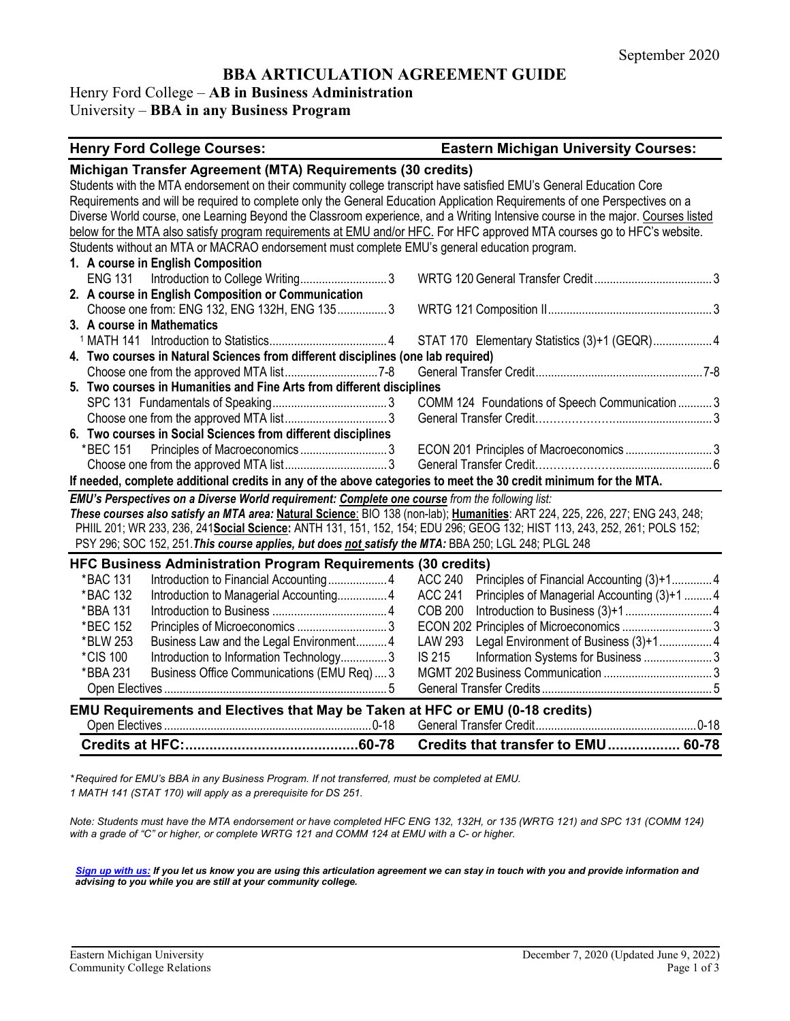## **BBA ARTICULATION AGREEMENT GUIDE**

## Henry Ford College – **AB in Business Administration**

## University – **BBA in any Business Program**

# **Henry Ford College Courses: Eastern Michigan University Courses:**

| Michigan Transfer Agreement (MTA) Requirements (30 credits)                                                                     |                                                                |  |  |
|---------------------------------------------------------------------------------------------------------------------------------|----------------------------------------------------------------|--|--|
| Students with the MTA endorsement on their community college transcript have satisfied EMU's General Education Core             |                                                                |  |  |
| Requirements and will be required to complete only the General Education Application Requirements of one Perspectives on a      |                                                                |  |  |
| Diverse World course, one Learning Beyond the Classroom experience, and a Writing Intensive course in the major. Courses listed |                                                                |  |  |
| below for the MTA also satisfy program requirements at EMU and/or HFC. For HFC approved MTA courses go to HFC's website.        |                                                                |  |  |
| Students without an MTA or MACRAO endorsement must complete EMU's general education program.                                    |                                                                |  |  |
| 1. A course in English Composition                                                                                              |                                                                |  |  |
| Introduction to College Writing3<br><b>ENG 131</b>                                                                              |                                                                |  |  |
| 2. A course in English Composition or Communication                                                                             |                                                                |  |  |
| Choose one from: ENG 132, ENG 132H, ENG 1353                                                                                    |                                                                |  |  |
| 3. A course in Mathematics                                                                                                      |                                                                |  |  |
|                                                                                                                                 | STAT 170 Elementary Statistics (3)+1 (GEQR) 4                  |  |  |
| 4. Two courses in Natural Sciences from different disciplines (one lab required)                                                |                                                                |  |  |
|                                                                                                                                 |                                                                |  |  |
| 5. Two courses in Humanities and Fine Arts from different disciplines                                                           |                                                                |  |  |
|                                                                                                                                 | COMM 124 Foundations of Speech Communication  3                |  |  |
|                                                                                                                                 |                                                                |  |  |
| 6. Two courses in Social Sciences from different disciplines                                                                    |                                                                |  |  |
| *BEC 151 Principles of Macroeconomics3                                                                                          | ECON 201 Principles of Macroeconomics3                         |  |  |
|                                                                                                                                 |                                                                |  |  |
| If needed, complete additional credits in any of the above categories to meet the 30 credit minimum for the MTA.                |                                                                |  |  |
| EMU's Perspectives on a Diverse World requirement: Complete one course from the following list:                                 |                                                                |  |  |
| These courses also satisfy an MTA area: Natural Science: BIO 138 (non-lab); Humanities: ART 224, 225, 226, 227; ENG 243, 248;   |                                                                |  |  |
| PHIIL 201; WR 233, 236, 241 Social Science: ANTH 131, 151, 152, 154; EDU 296; GEOG 132; HIST 113, 243, 252, 261; POLS 152;      |                                                                |  |  |
| PSY 296; SOC 152, 251. This course applies, but does not satisfy the MTA: BBA 250; LGL 248; PLGL 248                            |                                                                |  |  |
| <b>HFC Business Administration Program Requirements (30 credits)</b>                                                            |                                                                |  |  |
| *BAC 131                                                                                                                        | <b>ACC 240</b><br>Principles of Financial Accounting (3)+14    |  |  |
| *BAC 132                                                                                                                        | <b>ACC 241</b><br>Principles of Managerial Accounting (3)+1  4 |  |  |
| *BBA 131                                                                                                                        | <b>COB 200</b>                                                 |  |  |
| *BEC 152                                                                                                                        |                                                                |  |  |
| *BLW 253<br>Business Law and the Legal Environment 4                                                                            | <b>LAW 293</b>                                                 |  |  |
| *CIS 100<br>Introduction to Information Technology3                                                                             | <b>IS 215</b>                                                  |  |  |
| *BBA 231<br>Business Office Communications (EMU Req)3                                                                           |                                                                |  |  |
|                                                                                                                                 |                                                                |  |  |
| EMU Requirements and Electives that May be Taken at HFC or EMU (0-18 credits)                                                   |                                                                |  |  |
|                                                                                                                                 |                                                                |  |  |
|                                                                                                                                 | Credits that transfer to EMU 60-78                             |  |  |

*\* Required for EMU's BBA in any Business Program. If not transferred, must be completed at EMU. 1 MATH 141 (STAT 170) will apply as a prerequisite for DS 251.*

*Note: Students must have the MTA endorsement or have completed HFC ENG 132, 132H, or 135 (WRTG 121) and SPC 131 (COMM 124) with a grade of "C" or higher, or complete WRTG 121 and COMM 124 at EMU with a C- or higher.*

*[Sign up with us:](https://www.emich.edu/ccr/articulation-agreements/signup.php) If you let us know you are using this articulation agreement we can stay in touch with you and provide information and advising to you while you are still at your community college.*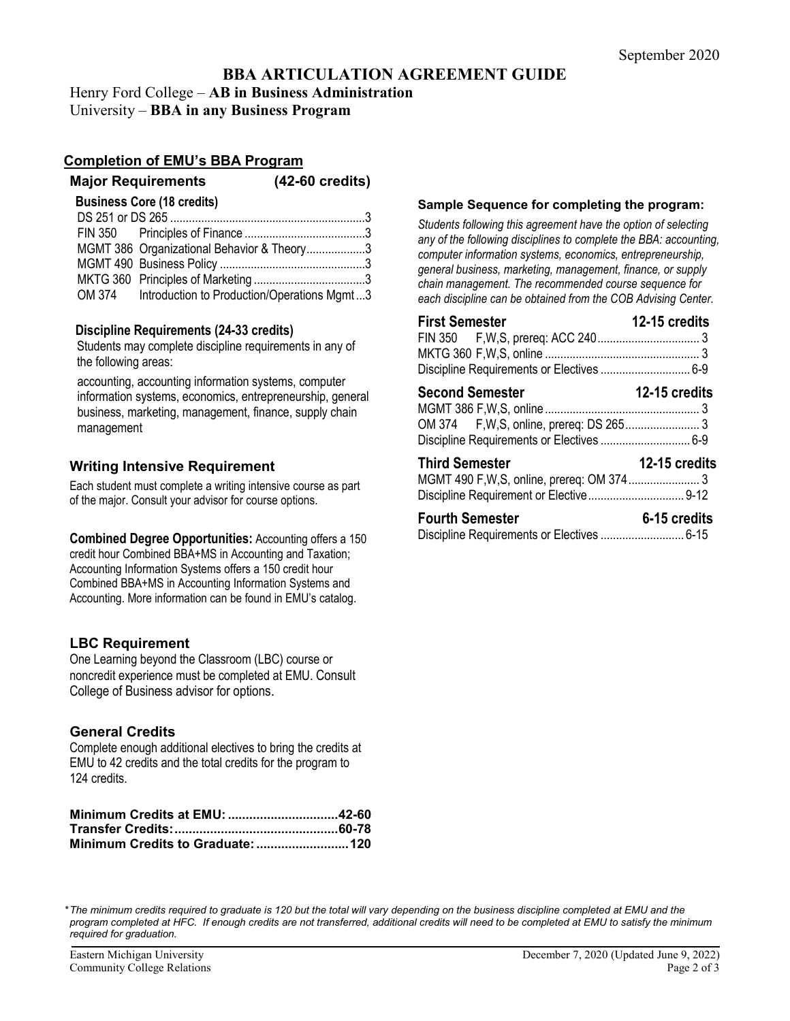# **BBA ARTICULATION AGREEMENT GUIDE**

## Henry Ford College – **AB in Business Administration**

University – **BBA in any Business Program**

### **Completion of EMU's BBA Program**

# **Major Requirements (42-60 credits)**

| <b>Business Core (18 credits)</b>                  |  |
|----------------------------------------------------|--|
|                                                    |  |
|                                                    |  |
| MGMT 386 Organizational Behavior & Theory3         |  |
|                                                    |  |
|                                                    |  |
| OM 374 Introduction to Production/Operations Mgmt3 |  |

#### **Discipline Requirements (24-33 credits)**

Students may complete discipline requirements in any of the following areas:

accounting, accounting information systems, computer information systems, economics, entrepreneurship, general business, marketing, management, finance, supply chain management

## **Writing Intensive Requirement**

Each student must complete a writing intensive course as part of the major. Consult your advisor for course options.

**Combined Degree Opportunities:** Accounting offers a 150 credit hour Combined BBA+MS in Accounting and Taxation; Accounting Information Systems offers a 150 credit hour Combined BBA+MS in Accounting Information Systems and Accounting. More information can be found in EMU's catalog.

## **LBC Requirement**

One Learning beyond the Classroom (LBC) course or noncredit experience must be completed at EMU. Consult College of Business advisor for options.

## **General Credits**

Complete enough additional electives to bring the credits at EMU to 42 credits and the total credits for the program to 124 credits.

| Minimum Credits at EMU: 42-60 |  |
|-------------------------------|--|
|                               |  |
|                               |  |

#### **Sample Sequence for completing the program:**

*Students following this agreement have the option of selecting any of the following disciplines to complete the BBA: accounting, computer information systems, economics, entrepreneurship, general business, marketing, management, finance, or supply chain management. The recommended course sequence for each discipline can be obtained from the COB Advising Center.* 

| <b>First Semester</b><br>Discipline Requirements or Electives  6-9  | 12-15 credits |
|---------------------------------------------------------------------|---------------|
| <b>Second Semester</b><br>Discipline Requirements or Electives  6-9 | 12-15 credits |
| <b>Third Semester</b>                                               | 12-15 credits |
| <b>Fourth Semester</b>                                              | 6-15 credits  |

*\*The minimum credits required to graduate is 120 but the total will vary depending on the business discipline completed at EMU and the program completed at HFC. If enough credits are not transferred, additional credits will need to be completed at EMU to satisfy the minimum required for graduation.*